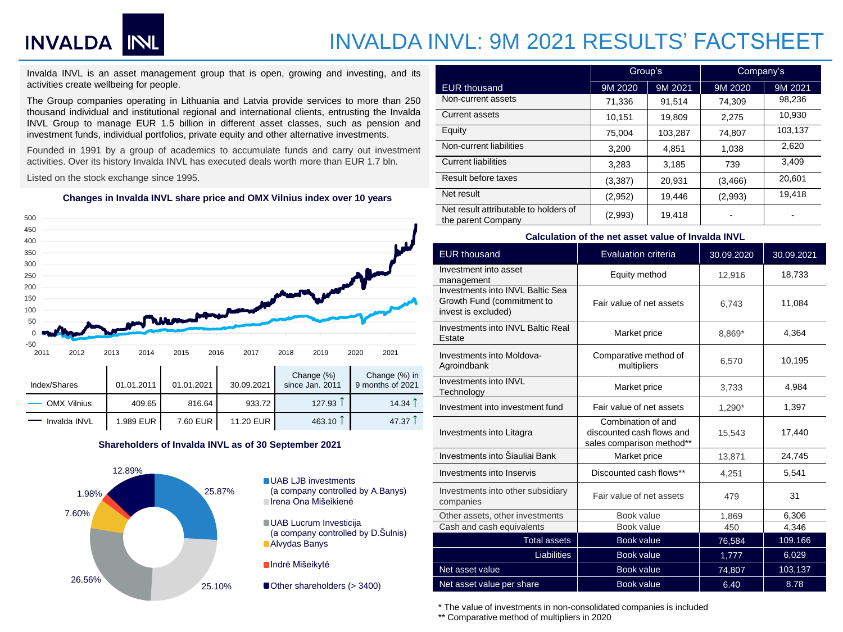## INVALDA INL

### INVALDA INVL: 9M 2021 RESULTS' FACTSHEET

Invalda INVL is an asset management group that is open, growing and investing, and its activities create wellbeing for people.

The Group companies operating in Lithuania and Latvia provide services to more than 250 thousand individual and institutional regional and international clients, entrusting the Invalda INVL Group to manage EUR 1.5 billion in different asset classes, such as pension and investment funds, individual portfolios, private equity and other alternative investments.

Founded in 1991 by a group of academics to accumulate funds and carry out investment activities. Over its history Invalda INVL has executed deals worth more than EUR 1.7 bln.

Listed on the stock exchange since 1995.

**Changes in Invalda INVL share price and OMX Vilnius index over 10 years**



### **Shareholders of Invalda INVL as of 30 September 2021**



|                                                             | Group's  |         | Company's |         |
|-------------------------------------------------------------|----------|---------|-----------|---------|
| <b>EUR thousand</b>                                         | 9M 2020  | 9M 2021 | 9M 2020   | 9M 2021 |
| Non-current assets                                          | 71,336   | 91,514  | 74.309    | 98,236  |
| <b>Current assets</b>                                       | 10,151   | 19,809  | 2,275     | 10.930  |
| Equity                                                      | 75.004   | 103,287 | 74,807    | 103,137 |
| Non-current liabilities                                     | 3,200    | 4.851   | 1,038     | 2.620   |
| <b>Current liabilities</b>                                  | 3,283    | 3,185   | 739       | 3.409   |
| Result before taxes                                         | (3, 387) | 20.931  | (3, 466)  | 20.601  |
| Net result                                                  | (2,952)  | 19,446  | (2,993)   | 19.418  |
| Net result attributable to holders of<br>the parent Company | (2,993)  | 19,418  |           |         |

#### **Calculation of the net asset value of Invalda INVL**

| <b>EUR thousand</b>                                                                   | <b>Evaluation criteria</b>                                                   | 30.09.2020 | 30.09.2021 |
|---------------------------------------------------------------------------------------|------------------------------------------------------------------------------|------------|------------|
| Investment into asset<br>management                                                   | Equity method                                                                | 12,916     | 18,733     |
| Investments into INVL Baltic Sea<br>Growth Fund (commitment to<br>invest is excluded) | Fair value of net assets                                                     | 6,743      | 11,084     |
| Investments into INVL Baltic Real<br>Estate                                           | Market price                                                                 | 8,869*     | 4.364      |
| Investments into Moldova-<br>Agroindbank                                              | Comparative method of<br>multipliers                                         | 6,570      | 10,195     |
| Investments into INVL<br>Technology                                                   | Market price                                                                 | 3.733      | 4,984      |
| Investment into investment fund                                                       | Fair value of net assets                                                     | 1,290*     | 1,397      |
| Investments into Litagra                                                              | Combination of and<br>discounted cash flows and<br>sales comparison method** | 15,543     | 17,440     |
| Investments into Šiauliai Bank                                                        | Market price                                                                 | 13,871     | 24,745     |
| Investments into Inservis                                                             | Discounted cash flows**                                                      | 4,251      | 5.541      |
| Investments into other subsidiary<br>companies                                        | Fair value of net assets                                                     | 479        | 31         |
| Other assets, other investments                                                       | Book value                                                                   | 1,869      | 6,306      |
| Cash and cash equivalents                                                             | Book value                                                                   | 450        | 4,346      |
| <b>Total assets</b>                                                                   | <b>Book value</b>                                                            | 76,584     | 109,166    |
| Liabilities                                                                           | Book value                                                                   | 1,777      | 6,029      |
| Net asset value                                                                       | Book value                                                                   | 74,807     | 103,137    |
| Net asset value per share                                                             | Book value                                                                   | 6.40       | 8.78       |

\* The value of investments in non-consolidated companies is included

\*\* Comparative method of multipliers in 2020